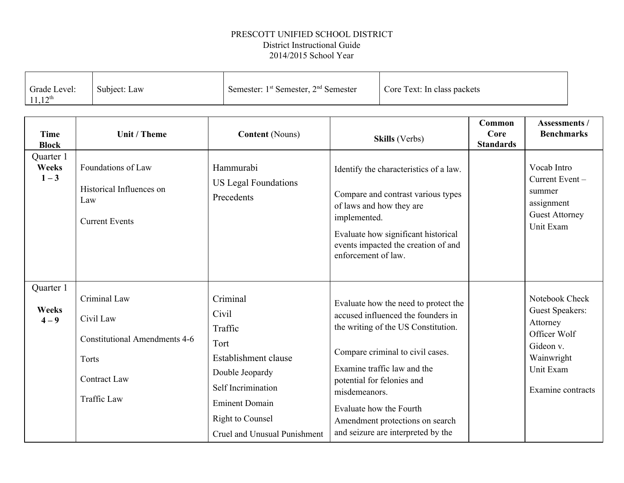## PRESCOTT UNIFIED SCHOOL DISTRICT District Instructional Guide 2014/2015 School Year

| Grade Level:<br>1 1 $\gamma$ <sup>th</sup><br>11,14 | Subject: Law | Semester: 1 <sup>st</sup> Semester, 2 <sup>nd</sup> Semester | Core Text: In class packets |
|-----------------------------------------------------|--------------|--------------------------------------------------------------|-----------------------------|
|-----------------------------------------------------|--------------|--------------------------------------------------------------|-----------------------------|

| <b>Time</b><br><b>Block</b>          | Unit / Theme                                                                                                     | <b>Content</b> (Nouns)                                                                                                                                                                    | <b>Skills</b> (Verbs)                                                                                                                                                                                                                                                                                                                   | Common<br>Core<br><b>Standards</b> | <b>Assessments /</b><br><b>Benchmarks</b>                                                                                         |
|--------------------------------------|------------------------------------------------------------------------------------------------------------------|-------------------------------------------------------------------------------------------------------------------------------------------------------------------------------------------|-----------------------------------------------------------------------------------------------------------------------------------------------------------------------------------------------------------------------------------------------------------------------------------------------------------------------------------------|------------------------------------|-----------------------------------------------------------------------------------------------------------------------------------|
| Quarter 1<br>Weeks<br>$1 - 3$        | Foundations of Law<br>Historical Influences on<br>Law<br><b>Current Events</b>                                   | Hammurabi<br><b>US Legal Foundations</b><br>Precedents                                                                                                                                    | Identify the characteristics of a law.<br>Compare and contrast various types<br>of laws and how they are<br>implemented.<br>Evaluate how significant historical<br>events impacted the creation of and<br>enforcement of law.                                                                                                           |                                    | Vocab Intro<br>Current Event-<br>summer<br>assignment<br><b>Guest Attorney</b><br>Unit Exam                                       |
| Quarter 1<br><b>Weeks</b><br>$4 - 9$ | Criminal Law<br>Civil Law<br><b>Constitutional Amendments 4-6</b><br>Torts<br>Contract Law<br><b>Traffic Law</b> | Criminal<br>Civil<br>Traffic<br>Tort<br>Establishment clause<br>Double Jeopardy<br>Self Incrimination<br><b>Eminent Domain</b><br><b>Right to Counsel</b><br>Cruel and Unusual Punishment | Evaluate how the need to protect the<br>accused influenced the founders in<br>the writing of the US Constitution.<br>Compare criminal to civil cases.<br>Examine traffic law and the<br>potential for felonies and<br>misdemeanors.<br>Evaluate how the Fourth<br>Amendment protections on search<br>and seizure are interpreted by the |                                    | Notebook Check<br><b>Guest Speakers:</b><br>Attorney<br>Officer Wolf<br>Gideon v.<br>Wainwright<br>Unit Exam<br>Examine contracts |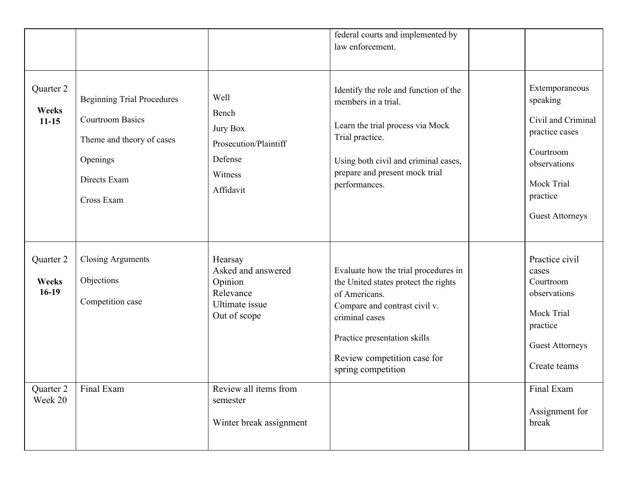|                                 |                                                                                                                                     |                                                                                         | federal courts and implemented by<br>law enforcement.                                                                                                                                                                                 |                                                                                                                                                     |
|---------------------------------|-------------------------------------------------------------------------------------------------------------------------------------|-----------------------------------------------------------------------------------------|---------------------------------------------------------------------------------------------------------------------------------------------------------------------------------------------------------------------------------------|-----------------------------------------------------------------------------------------------------------------------------------------------------|
| Quarter 2<br>Weeks<br>$11 - 15$ | <b>Beginning Trial Procedures</b><br><b>Courtroom Basics</b><br>Theme and theory of cases<br>Openings<br>Directs Exam<br>Cross Exam | Well<br>Bench<br>Jury Box<br>Prosecution/Plaintiff<br>Defense<br>Witness<br>Affidavit   | Identify the role and function of the<br>members in a trial.<br>Learn the trial process via Mock<br>Trial practice.<br>Using both civil and criminal cases,<br>prepare and present mock trial<br>performances.                        | Extemporaneous<br>speaking<br>Civil and Criminal<br>practice cases<br>Courtroom<br>observations<br>Mock Trial<br>practice<br><b>Guest Attorneys</b> |
| Quarter 2<br>Weeks<br>$16-19$   | <b>Closing Arguments</b><br>Objections<br>Competition case                                                                          | Hearsay<br>Asked and answered<br>Opinion<br>Relevance<br>Ultimate issue<br>Out of scope | Evaluate how the trial procedures in<br>the United states protect the rights<br>of Americans.<br>Compare and contrast civil v.<br>criminal cases<br>Practice presentation skills<br>Review competition case for<br>spring competition | Practice civil<br>cases<br>Courtroom<br>observations<br>Mock Trial<br>practice<br><b>Guest Attorneys</b><br>Create teams                            |
| Quarter 2<br>Week 20            | Final Exam                                                                                                                          | Review all items from<br>semester<br>Winter break assignment                            |                                                                                                                                                                                                                                       | Final Exam<br>Assignment for<br>break                                                                                                               |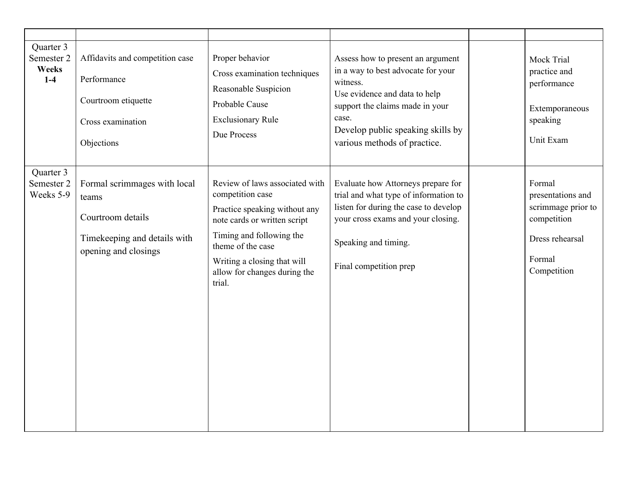| Quarter 3<br>Semester 2<br>Weeks<br>$1-4$ | Affidavits and competition case<br>Performance<br>Courtroom etiquette<br>Cross examination<br>Objections           | Proper behavior<br>Cross examination techniques<br>Reasonable Suspicion<br>Probable Cause<br><b>Exclusionary Rule</b><br>Due Process                                                                                                          | Assess how to present an argument<br>in a way to best advocate for your<br>witness.<br>Use evidence and data to help<br>support the claims made in your<br>case.<br>Develop public speaking skills by<br>various methods of practice. | Mock Trial<br>practice and<br>performance<br>Extemporaneous<br>speaking<br>Unit Exam                         |
|-------------------------------------------|--------------------------------------------------------------------------------------------------------------------|-----------------------------------------------------------------------------------------------------------------------------------------------------------------------------------------------------------------------------------------------|---------------------------------------------------------------------------------------------------------------------------------------------------------------------------------------------------------------------------------------|--------------------------------------------------------------------------------------------------------------|
| Quarter 3<br>Semester 2<br>Weeks 5-9      | Formal scrimmages with local<br>teams<br>Courtroom details<br>Timekeeping and details with<br>opening and closings | Review of laws associated with<br>competition case<br>Practice speaking without any<br>note cards or written script<br>Timing and following the<br>theme of the case<br>Writing a closing that will<br>allow for changes during the<br>trial. | Evaluate how Attorneys prepare for<br>trial and what type of information to<br>listen for during the case to develop<br>your cross exams and your closing.<br>Speaking and timing.<br>Final competition prep                          | Formal<br>presentations and<br>scrimmage prior to<br>competition<br>Dress rehearsal<br>Formal<br>Competition |